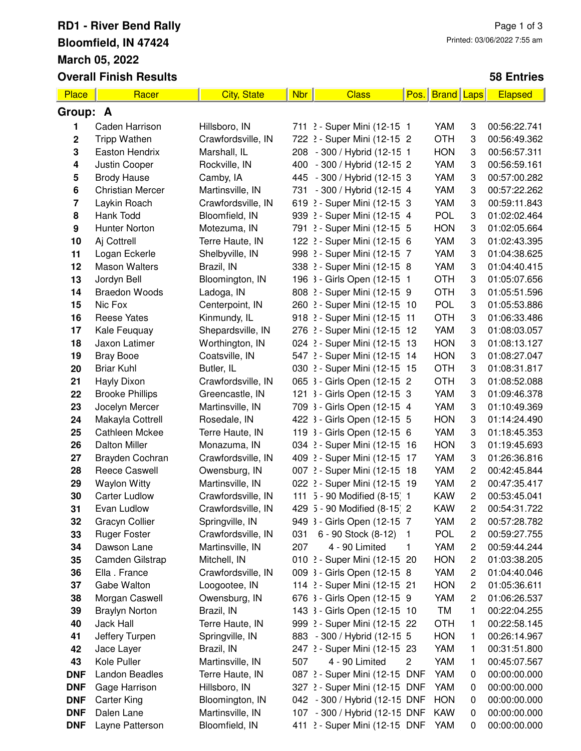## **RD1 - River Bend Rally Bloomfield, IN 47424 March 05, 2022 Overall Finish Results**

## **58 Entries**

| Place       | Racer                   | <b>City, State</b> | <b>Nbr</b> | <b>Class</b>                  | Pos. | <b>Brand Laps</b> |                         | <b>Elapsed</b> |  |
|-------------|-------------------------|--------------------|------------|-------------------------------|------|-------------------|-------------------------|----------------|--|
|             | Group: A                |                    |            |                               |      |                   |                         |                |  |
| 1           | Caden Harrison          | Hillsboro, IN      |            | 711 2 - Super Mini (12-15 1   |      | YAM               | 3                       | 00:56:22.741   |  |
| $\mathbf 2$ | <b>Tripp Wathen</b>     | Crawfordsville, IN |            | 722 2 - Super Mini (12-15 2   |      | <b>OTH</b>        | 3                       | 00:56:49.362   |  |
| 3           | Easton Hendrix          | Marshall, IL       |            | 208 - 300 / Hybrid (12-15 1   |      | <b>HON</b>        | 3                       | 00:56:57.311   |  |
| 4           | Justin Cooper           | Rockville, IN      |            | 400 - 300 / Hybrid (12-15 2   |      | YAM               | 3                       | 00:56:59.161   |  |
| 5           | <b>Brody Hause</b>      | Camby, IA          |            | 445 - 300 / Hybrid (12-15 3   |      | YAM               | 3                       | 00:57:00.282   |  |
| 6           | <b>Christian Mercer</b> | Martinsville, IN   |            | 731 - 300 / Hybrid (12-15 4   |      | YAM               | 3                       | 00:57:22.262   |  |
| 7           | Laykin Roach            | Crawfordsville, IN |            | 619 2 - Super Mini (12-15 3   |      | YAM               | 3                       | 00:59:11.843   |  |
| 8           | Hank Todd               | Bloomfield, IN     |            | 939 2 - Super Mini (12-15 4   |      | <b>POL</b>        | 3                       | 01:02:02.464   |  |
| 9           | <b>Hunter Norton</b>    | Motezuma, IN       |            | 791 2 - Super Mini (12-15 5   |      | <b>HON</b>        | 3                       | 01:02:05.664   |  |
| 10          | Aj Cottrell             | Terre Haute, IN    |            | 122 2 - Super Mini (12-15 6   |      | YAM               | 3                       | 01:02:43.395   |  |
| 11          | Logan Eckerle           | Shelbyville, IN    |            | 998 2 - Super Mini (12-15 7   |      | YAM               | 3                       | 01:04:38.625   |  |
| 12          | <b>Mason Walters</b>    | Brazil, IN         |            | 338 2 - Super Mini (12-15 8   |      | YAM               | 3                       | 01:04:40.415   |  |
| 13          | Jordyn Bell             | Bloomington, IN    |            | 196 3 - Girls Open (12-15 1   |      | <b>OTH</b>        | 3                       | 01:05:07.656   |  |
| 14          | <b>Braedon Woods</b>    | Ladoga, IN         |            | 808 2 - Super Mini (12-15 9   |      | <b>OTH</b>        | 3                       | 01:05:51.596   |  |
| 15          | Nic Fox                 | Centerpoint, IN    |            | 260 2 - Super Mini (12-15 10  |      | <b>POL</b>        | 3                       | 01:05:53.886   |  |
| 16          | <b>Reese Yates</b>      | Kinmundy, IL       |            | 918 2 - Super Mini (12-15 11  |      | <b>OTH</b>        | 3                       | 01:06:33.486   |  |
| 17          | Kale Feuquay            | Shepardsville, IN  |            | 276 2 - Super Mini (12-15 12  |      | YAM               | 3                       | 01:08:03.057   |  |
| 18          | Jaxon Latimer           | Worthington, IN    |            | 024 2 - Super Mini (12-15 13  |      | <b>HON</b>        | 3                       | 01:08:13.127   |  |
| 19          | <b>Bray Booe</b>        | Coatsville, IN     |            | 547 2 - Super Mini (12-15 14  |      | <b>HON</b>        | 3                       | 01:08:27.047   |  |
| 20          | <b>Briar Kuhl</b>       | Butler, IL         |            | 030 2 - Super Mini (12-15 15  |      | <b>OTH</b>        | 3                       | 01:08:31.817   |  |
| 21          | Hayly Dixon             | Crawfordsville, IN |            | 065 3 - Girls Open (12-15 2   |      | <b>OTH</b>        | 3                       | 01:08:52.088   |  |
| 22          | <b>Brooke Phillips</b>  | Greencastle, IN    |            | 121 3 - Girls Open (12-15 3   |      | YAM               | 3                       | 01:09:46.378   |  |
| 23          | Jocelyn Mercer          | Martinsville, IN   |            | 709 3 - Girls Open (12-15 4   |      | YAM               | 3                       | 01:10:49.369   |  |
| 24          | Makayla Cottrell        | Rosedale, IN       |            | 422 3 - Girls Open (12-15 5   |      | <b>HON</b>        | 3                       | 01:14:24.490   |  |
| 25          | <b>Cathleen Mckee</b>   | Terre Haute, IN    |            | 119 3 - Girls Open (12-15 6   |      | YAM               | 3                       | 01:18:45.353   |  |
| 26          | <b>Dalton Miller</b>    | Monazuma, IN       |            | 034 2 - Super Mini (12-15 16  |      | <b>HON</b>        | 3                       | 01:19:45.693   |  |
| 27          | Brayden Cochran         | Crawfordsville, IN |            | 409 2 - Super Mini (12-15 17  |      | YAM               | 3                       | 01:26:36.816   |  |
| 28          | <b>Reece Caswell</b>    | Owensburg, IN      |            | 007 2 - Super Mini (12-15 18  |      | YAM               | $\overline{c}$          | 00:42:45.844   |  |
| 29          | <b>Waylon Witty</b>     | Martinsville, IN   |            | 022 2 - Super Mini (12-15 19  |      | YAM               | $\overline{c}$          | 00:47:35.417   |  |
| 30          | <b>Carter Ludlow</b>    | Crawfordsville, IN |            | 111 5 - 90 Modified (8-15) 1  |      | <b>KAW</b>        | $\overline{c}$          | 00:53:45.041   |  |
| 31          | Evan Ludlow             | Crawfordsville, IN |            | 429 5 - 90 Modified (8-15) 2  |      | KAW               | 2                       | 00:54:31.722   |  |
| 32          | Gracyn Collier          | Springville, IN    |            | 949 3 - Girls Open (12-15 7   |      | YAM               | 2                       | 00:57:28.782   |  |
| 33          | <b>Ruger Foster</b>     | Crawfordsville, IN | 031        | 6 - 90 Stock (8-12)           | - 1  | <b>POL</b>        | $\overline{\mathbf{c}}$ | 00:59:27.755   |  |
| 34          | Dawson Lane             | Martinsville, IN   | 207        | 4 - 90 Limited                | 1    | YAM               | 2                       | 00:59:44.244   |  |
| 35          | Camden Gilstrap         | Mitchell, IN       |            | 010 2 - Super Mini (12-15 20  |      | <b>HON</b>        | 2                       | 01:03:38.205   |  |
| 36          | Ella. France            | Crawfordsville, IN |            | 009 3 - Girls Open (12-15 8   |      | YAM               | $\overline{c}$          | 01:04:40.046   |  |
| 37          | Gabe Walton             | Loogootee, IN      |            | 114 2 - Super Mini (12-15 21  |      | <b>HON</b>        | 2                       | 01:05:36.611   |  |
| 38          | Morgan Caswell          | Owensburg, IN      |            | 676 3 - Girls Open (12-15 9   |      | YAM               | $\overline{c}$          | 01:06:26.537   |  |
| 39          | <b>Braylyn Norton</b>   | Brazil, IN         |            | 143 3 - Girls Open (12-15 10  |      | TM                | 1                       | 00:22:04.255   |  |
| 40          | Jack Hall               | Terre Haute, IN    |            | 999 2 - Super Mini (12-15 22  |      | <b>OTH</b>        | 1                       | 00:22:58.145   |  |
| 41          | Jeffery Turpen          | Springville, IN    |            | 883 - 300 / Hybrid (12-15 5   |      | <b>HON</b>        | 1                       | 00:26:14.967   |  |
| 42          | Jace Layer              | Brazil, IN         |            | 247 2 - Super Mini (12-15 23  |      | YAM               | 1                       | 00:31:51.800   |  |
| 43          | Kole Puller             | Martinsville, IN   | 507        | 4 - 90 Limited                | 2    | YAM               | 1                       | 00:45:07.567   |  |
| <b>DNF</b>  | Landon Beadles          | Terre Haute, IN    |            | 087 2 - Super Mini (12-15 DNF |      | YAM               | 0                       | 00:00:00.000   |  |
| <b>DNF</b>  | Gage Harrison           | Hillsboro, IN      |            | 327 2 - Super Mini (12-15 DNF |      | YAM               | 0                       | 00:00:00.000   |  |
| <b>DNF</b>  | Carter King             | Bloomington, IN    |            | 042 - 300 / Hybrid (12-15 DNF |      | <b>HON</b>        | 0                       | 00:00:00.000   |  |
| <b>DNF</b>  | Dalen Lane              | Martinsville, IN   |            | 107 - 300 / Hybrid (12-15 DNF |      | <b>KAW</b>        | 0                       | 00:00:00.000   |  |
| <b>DNF</b>  | Layne Patterson         | Bloomfield, IN     |            | 411 2 - Super Mini (12-15 DNF |      | YAM               | 0                       | 00:00:00.000   |  |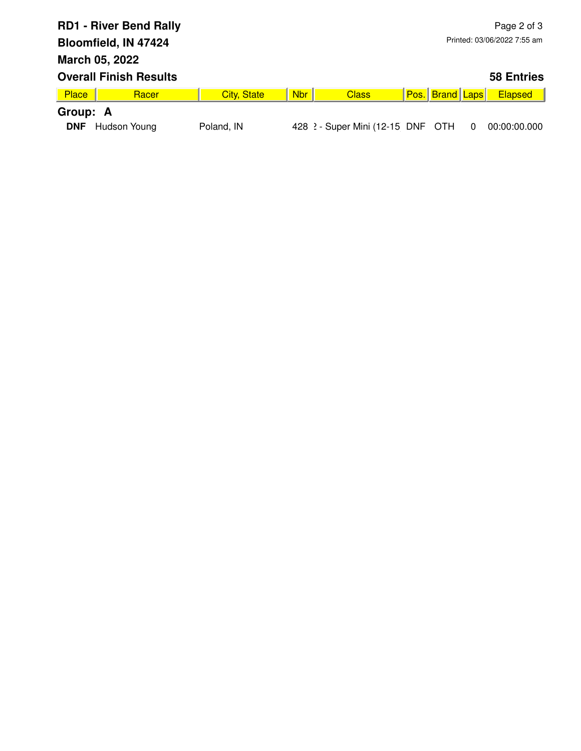| <b>RD1 - River Bend Rally</b> |                               |                    |            | Page 2 of 3                       |                             |                        |   |                   |  |
|-------------------------------|-------------------------------|--------------------|------------|-----------------------------------|-----------------------------|------------------------|---|-------------------|--|
|                               | Bloomfield, IN 47424          |                    |            |                                   | Printed: 03/06/2022 7:55 am |                        |   |                   |  |
| March 05, 2022                |                               |                    |            |                                   |                             |                        |   |                   |  |
|                               | <b>Overall Finish Results</b> |                    |            |                                   |                             |                        |   | <b>58 Entries</b> |  |
| Place                         | Racer                         | <b>City, State</b> | <b>Nbr</b> | <b>Class</b>                      |                             | <b>Pos.</b> Brand Laps |   | <b>Elapsed</b>    |  |
| Group: A                      |                               |                    |            |                                   |                             |                        |   |                   |  |
| <b>DNF</b>                    | Hudson Young                  | Poland, IN         |            | 428 2 - Super Mini (12-15 DNF OTH |                             |                        | 0 | 00:00:00.000      |  |